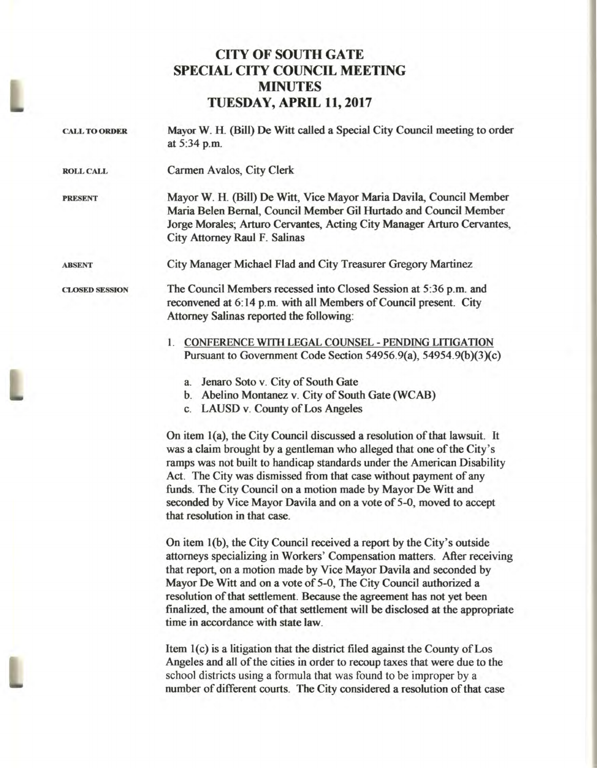## **CITY OF SOUTH GATE SPECIAL CITY COUNCIL MEETING MINUTES TUESDAY, APRIL 11, 2017**

| <b>CALL TO ORDER</b>  | Mayor W. H. (Bill) De Witt called a Special City Council meeting to order<br>at 5:34 p.m.                                                                                                                                                                                                          |
|-----------------------|----------------------------------------------------------------------------------------------------------------------------------------------------------------------------------------------------------------------------------------------------------------------------------------------------|
| <b>ROLL CALL</b>      | Carmen Avalos, City Clerk                                                                                                                                                                                                                                                                          |
| <b>PRESENT</b>        | Mayor W. H. (Bill) De Witt, Vice Mayor Maria Davila, Council Member<br>Maria Belen Bernal, Council Member Gil Hurtado and Council Member<br>Jorge Morales; Arturo Cervantes, Acting City Manager Arturo Cervantes,<br>City Attorney Raul F. Salinas                                                |
| <b>ABSENT</b>         | City Manager Michael Flad and City Treasurer Gregory Martinez                                                                                                                                                                                                                                      |
| <b>CLOSED SESSION</b> | The Council Members recessed into Closed Session at 5:36 p.m. and<br>reconvened at 6:14 p.m. with all Members of Council present. City<br>Attorney Salinas reported the following:                                                                                                                 |
|                       | <b>CONFERENCE WITH LEGAL COUNSEL - PENDING LITIGATION</b><br>$1_{-}$<br>Pursuant to Government Code Section 54956.9(a), 54954.9(b)(3)(c)                                                                                                                                                           |
|                       | Jenaro Soto v. City of South Gate<br>a.                                                                                                                                                                                                                                                            |
|                       | b. Abelino Montanez v. City of South Gate (WCAB)                                                                                                                                                                                                                                                   |
|                       | c. LAUSD v. County of Los Angeles                                                                                                                                                                                                                                                                  |
|                       | On item 1(a), the City Council discussed a resolution of that lawsuit. It<br>was a claim brought by a gentleman who alleged that one of the City's<br>ramps was not built to handicap standards under the American Disability<br>Act. The City was dismissed from that case without payment of any |

**funds. The City Council on a motion made by Mayor De Witt and seconded by Vice Mayor Davila and on a vote of 5-0, moved to accept that resolution in that case.** 

**On item 1(b), the City Council received a report by the City's outside attorneys specializing in Workers' Compensation matters. After receiving that report, on a motion made by Vice Mayor Davila and seconded by Mayor De Witt and on a vote of 5-0, The City Council authorized a resolution of that settlement. Because the agreement has not yet been finalized, the amount of that settlement will be disclosed at the appropriate time in accordance with state law.** 

**Item 1(c) is a litigation that the district filed against the County of Los Angeles and all of the cities in order to recoup taxes that were due to the**  school districts using a formula that was found to be improper by a **number of different courts. The City considered a resolution of that case**